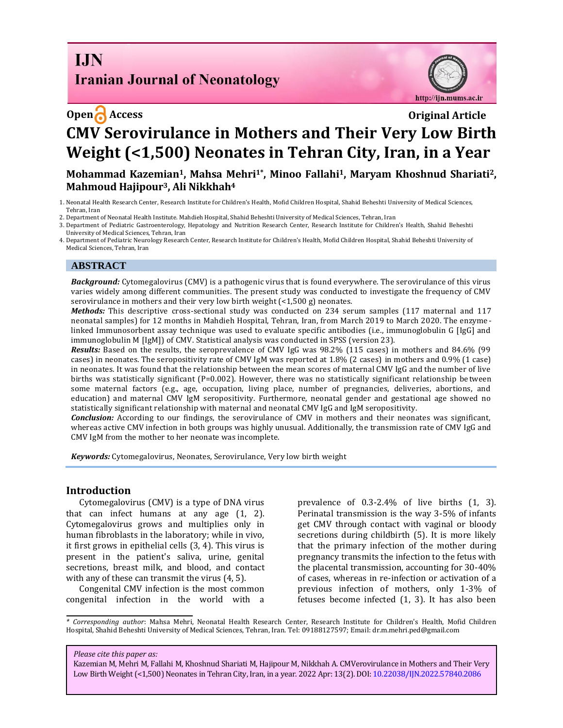# **I.IN Iranian Journal of Neonatology**



# **Open Access Original Article CMV Serovirulance in Mothers and Their Very Low Birth Weight (<1,500) Neonates in Tehran City, Iran, in a Year**

**Mohammad Kazemian1, Mahsa Mehri1\*, Minoo Fallahi1, Maryam Khoshnud Shariati2, Mahmoud Hajipour3, Ali Nikkhah<sup>4</sup>**

1. Neonatal Health Research Center, Research Institute for Children's Health, Mofid Children Hospital, Shahid Beheshti University of Medical Sciences, Tehran, Iran

2. Department of Neonatal Health Institute. Mahdieh Hospital, Shahid Beheshti University of Medical Sciences, Tehran, Iran

3. Department of Pediatric Gastroenterology, Hepatology and Nutrition Research Center, Research Institute for Children's Health, Shahid Beheshti University of Medical Sciences, Tehran, Iran

4. Department of Pediatric Neurology Research Center, Research Institute for Children's Health, Mofid Children Hospital, Shahid Beheshti University of Medical Sciences, Tehran, Iran

#### **ABSTRACT**

*Background:* Cytomegalovirus (CMV) is a pathogenic virus that is found everywhere. The serovirulance of this virus varies widely among different communities. The present study was conducted to investigate the frequency of CMV serovirulance in mothers and their very low birth weight  $\left($  <1,500 g) neonates.

*Methods:* This descriptive cross-sectional study was conducted on 234 serum samples (117 maternal and 117 neonatal samples) for 12 months in Mahdieh Hospital, Tehran, Iran, from March 2019 to March 2020. The enzymelinked Immunosorbent assay technique was used to evaluate specific antibodies (i.e., immunoglobulin G [IgG] and immunoglobulin M [IgM]) of CMV. Statistical analysis was conducted in SPSS (version 23).

*Results:* Based on the results, the seroprevalence of CMV IgG was 98.2% (115 cases) in mothers and 84.6% (99 cases) in neonates. The seropositivity rate of CMV IgM was reported at 1.8% (2 cases) in mothers and 0.9% (1 case) in neonates. It was found that the relationship between the mean scores of maternal CMV IgG and the number of live births was statistically significant (P=0.002). However, there was no statistically significant relationship between some maternal factors (e.g., age, occupation, living place, number of pregnancies, deliveries, abortions, and education) and maternal CMV IgM seropositivity. Furthermore, neonatal gender and gestational age showed no statistically significant relationship with maternal and neonatal CMV IgG and IgM seropositivity.

*Conclusion:* According to our findings, the serovirulance of CMV in mothers and their neonates was significant, whereas active CMV infection in both groups was highly unusual. Additionally, the transmission rate of CMV IgG and CMV IgM from the mother to her neonate was incomplete.

*Keywords:* Cytomegalovirus, Neonates, Serovirulance, Very low birth weight

#### **Introduction**

Cytomegalovirus (CMV) is a type of DNA virus that can infect humans at any age (1, 2). Cytomegalovirus grows and multiplies only in human fibroblasts in the laboratory; while in vivo, it first grows in epithelial cells (3, 4). This virus is present in the patient's saliva, urine, genital secretions, breast milk, and blood, and contact with any of these can transmit the virus  $(4, 5)$ .

Congenital CMV infection is the most common congenital infection in the world with a prevalence of 0.3-2.4% of live births (1, 3). Perinatal transmission is the way 3-5% of infants get CMV through contact with vaginal or bloody secretions during childbirth (5). It is more likely that the primary infection of the mother during pregnancy transmits the infection to the fetus with the placental transmission, accounting for 30-40% of cases, whereas in re-infection or activation of a previous infection of mothers, only 1-3% of fetuses become infected (1, 3). It has also been

*\* Corresponding author*: Mahsa Mehri, Neonatal Health Research Center, Research Institute for Children's Health, Mofid Children Hospital, Shahid Beheshti University of Medical Sciences, Tehran, Iran. Tel: 09188127597; Email: dr.m.mehri.ped@gmail.com

*Please cite this paper as:*

Kazemian M, Mehri M, Fallahi M, Khoshnud Shariati M, Hajipour M, Nikkhah A. CMVerovirulance in Mothers and Their Very Low Birth Weight (<1,500) Neonates in Tehran City, Iran, in a year. 2022 Apr: 13(2). DOI: 10.22038/IJN.2022.57840.2086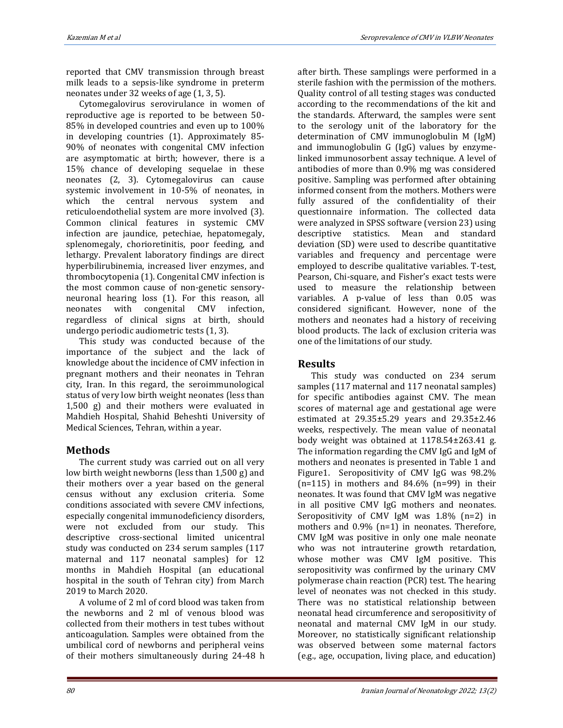reported that CMV transmission through breast milk leads to a sepsis-like syndrome in preterm neonates under 32 weeks of age (1, 3, 5).

Cytomegalovirus serovirulance in women of reproductive age is reported to be between 50- 85% in developed countries and even up to 100% in developing countries (1). Approximately 85- 90% of neonates with congenital CMV infection are asymptomatic at birth; however, there is a 15% chance of developing sequelae in these neonates (2, 3). Cytomegalovirus can cause systemic involvement in 10-5% of neonates, in which the central nervous system and reticuloendothelial system are more involved (3). Common clinical features in systemic CMV infection are jaundice, petechiae, hepatomegaly, splenomegaly, chorioretinitis, poor feeding, and lethargy. Prevalent laboratory findings are direct hyperbilirubinemia, increased liver enzymes, and thrombocytopenia (1). Congenital CMV infection is the most common cause of non-genetic sensoryneuronal hearing loss (1). For this reason, all neonates with congenital CMV infection, regardless of clinical signs at birth, should undergo periodic audiometric tests (1, 3).

This study was conducted because of the importance of the subject and the lack of knowledge about the incidence of CMV infection in pregnant mothers and their neonates in Tehran city, Iran. In this regard, the seroimmunological status of very low birth weight neonates (less than 1,500 g) and their mothers were evaluated in Mahdieh Hospital, Shahid Beheshti University of Medical Sciences, Tehran, within a year.

# **Methods**

The current study was carried out on all very low birth weight newborns (less than 1,500 g) and their mothers over a year based on the general census without any exclusion criteria. Some conditions associated with severe CMV infections, especially congenital immunodeficiency disorders, were not excluded from our study. This descriptive cross-sectional limited unicentral study was conducted on 234 serum samples (117 maternal and 117 neonatal samples) for 12 months in Mahdieh Hospital (an educational hospital in the south of Tehran city) from March 2019 to March 2020.

A volume of 2 ml of cord blood was taken from the newborns and 2 ml of venous blood was collected from their mothers in test tubes without anticoagulation. Samples were obtained from the umbilical cord of newborns and peripheral veins of their mothers simultaneously during 24-48 h after birth. These samplings were performed in a sterile fashion with the permission of the mothers. Quality control of all testing stages was conducted according to the recommendations of the kit and the standards. Afterward, the samples were sent to the serology unit of the laboratory for the determination of CMV immunoglobulin M (IgM) and immunoglobulin G (IgG) values by enzymelinked immunosorbent assay technique. A level of antibodies of more than 0.9% mg was considered positive. Sampling was performed after obtaining informed consent from the mothers. Mothers were fully assured of the confidentiality of their questionnaire information. The collected data were analyzed in SPSS software (version 23) using descriptive statistics. Mean and standard deviation (SD) were used to describe quantitative variables and frequency and percentage were employed to describe qualitative variables. T-test, Pearson, Chi-square, and Fisher's exact tests were used to measure the relationship between variables. A p-value of less than 0.05 was considered significant. However, none of the mothers and neonates had a history of receiving blood products. The lack of exclusion criteria was one of the limitations of our study.

# **Results**

This study was conducted on 234 serum samples (117 maternal and 117 neonatal samples) for specific antibodies against CMV. The mean scores of maternal age and gestational age were estimated at 29.35±5.29 years and 29.35±2.46 weeks, respectively. The mean value of neonatal body weight was obtained at 1178.54±263.41 g. The information regarding the CMV IgG and IgM of mothers and neonates is presented in Table 1 and Figure1. Seropositivity of CMV IgG was 98.2%  $(n=115)$  in mothers and 84.6%  $(n=99)$  in their neonates. It was found that CMV IgM was negative in all positive CMV IgG mothers and neonates. Seropositivity of CMV IgM was 1.8% (n=2) in mothers and 0.9% (n=1) in neonates. Therefore, CMV IgM was positive in only one male neonate who was not intrauterine growth retardation, whose mother was CMV IgM positive. This seropositivity was confirmed by the urinary CMV polymerase chain reaction (PCR) test. The hearing level of neonates was not checked in this study. There was no statistical relationship between neonatal head circumference and seropositivity of neonatal and maternal CMV IgM in our study. Moreover, no statistically significant relationship was observed between some maternal factors (e.g., age, occupation, living place, and education)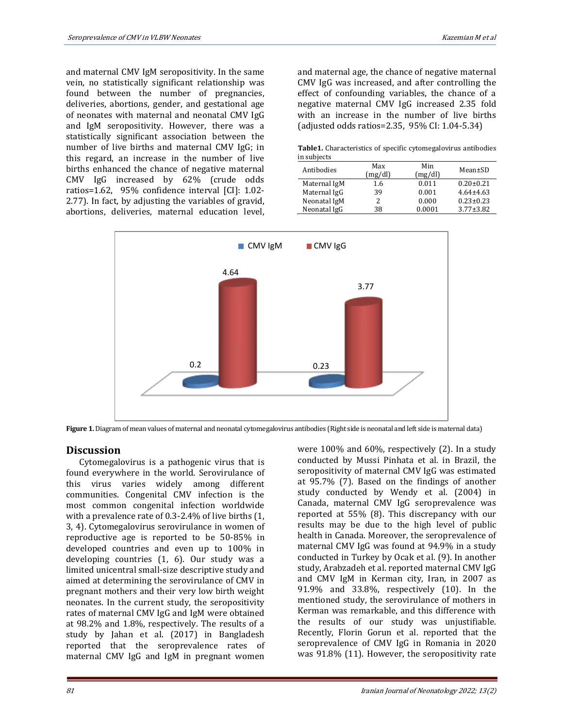and maternal CMV IgM seropositivity. In the same vein, no statistically significant relationship was found between the number of pregnancies, deliveries, abortions, gender, and gestational age of neonates with maternal and neonatal CMV IgG and IgM seropositivity. However, there was a statistically significant association between the number of live births and maternal CMV IgG; in this regard, an increase in the number of live births enhanced the chance of negative maternal CMV IgG increased by 62% (crude odds ratios=1.62, 95% confidence interval [CI]: 1.02- 2.77). In fact, by adjusting the variables of gravid, abortions, deliveries, maternal education level, and maternal age, the chance of negative maternal CMV IgG was increased, and after controlling the effect of confounding variables, the chance of a negative maternal CMV IgG increased 2.35 fold with an increase in the number of live births (adjusted odds ratios=2.35, 95% CI: 1.04-5.34)

**Table1.** Characteristics of specific cytomegalovirus antibodies in subjects

| Antibodies   | Max<br>(mg/dl) | Min<br>(mg/dl) | Mean±SD         |
|--------------|----------------|----------------|-----------------|
| Maternal IgM | 1.6            | 0.011          | $0.20 \pm 0.21$ |
| Maternal IgG | 39             | 0.001          | $4.64 \pm 4.63$ |
| Neonatal IgM | 2              | 0.000          | $0.23 \pm 0.23$ |
| Neonatal IgG | 38             | 0.0001         | $3.77 \pm 3.82$ |



**Figure 1.** Diagram of mean values of maternal and neonatal cytomegalovirus antibodies (Right side is neonatal and left side is maternal data)

#### **Discussion**

Cytomegalovirus is a pathogenic virus that is found everywhere in the world. Serovirulance of this virus varies widely among different communities. Congenital CMV infection is the most common congenital infection worldwide with a prevalence rate of 0.3-2.4% of live births (1, 3, 4). Cytomegalovirus serovirulance in women of reproductive age is reported to be 50-85% in developed countries and even up to 100% in developing countries (1, 6). Our study was a limited unicentral small-size descriptive study and aimed at determining the serovirulance of CMV in pregnant mothers and their very low birth weight neonates. In the current study, the seropositivity rates of maternal CMV IgG and IgM were obtained at 98.2% and 1.8%, respectively. The results of a study by Jahan et al. (2017) in Bangladesh reported that the seroprevalence rates of maternal CMV IgG and IgM in pregnant women

were 100% and 60%, respectively (2). In a study conducted by Mussi Pinhata et al. in Brazil, the seropositivity of maternal CMV IgG was estimated at 95.7% (7). Based on the findings of another study conducted by Wendy et al. (2004) in Canada, maternal CMV IgG seroprevalence was reported at 55% (8). This discrepancy with our results may be due to the high level of public health in Canada. Moreover, the seroprevalence of maternal CMV IgG was found at 94.9% in a study conducted in Turkey by Ocak et al. (9). In another study, Arabzadeh et al. reported maternal CMV IgG and CMV IgM in Kerman city, Iran, in 2007 as 91.9% and 33.8%, respectively (10). In the mentioned study, the serovirulance of mothers in Kerman was remarkable, and this difference with the results of our study was unjustifiable. Recently, Florin Gorun et al. reported that the seroprevalence of CMV IgG in Romania in 2020 was 91.8% (11). However, the seropositivity rate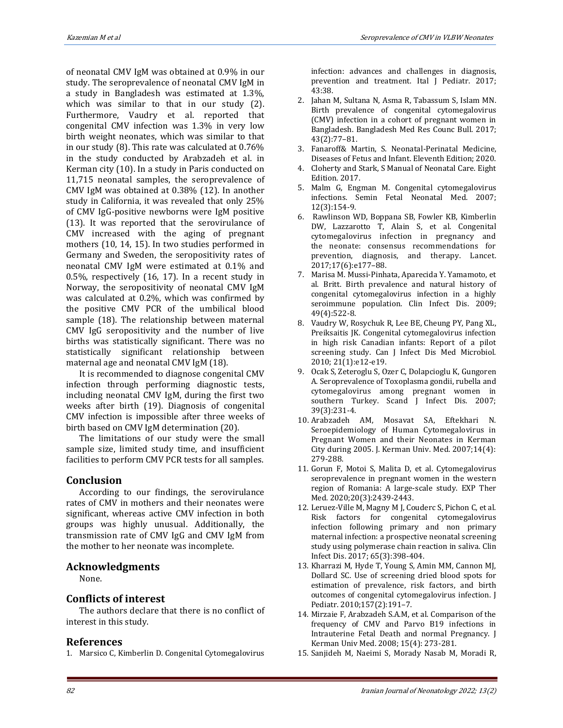of neonatal CMV IgM was obtained at 0.9% in our study. The seroprevalence of neonatal CMV IgM in a study in Bangladesh was estimated at 1.3%, which was similar to that in our study (2). Furthermore, Vaudry et al. reported that congenital CMV infection was 1.3% in very low birth weight neonates, which was similar to that in our study (8). This rate was calculated at 0.76% in the study conducted by Arabzadeh et al. in Kerman city (10). In a study in Paris conducted on 11,715 neonatal samples, the seroprevalence of CMV IgM was obtained at 0.38% (12). In another study in California, it was revealed that only 25% of CMV IgG-positive newborns were IgM positive (13). It was reported that the serovirulance of CMV increased with the aging of pregnant mothers (10, 14, 15). In two studies performed in Germany and Sweden, the seropositivity rates of neonatal CMV IgM were estimated at 0.1% and 0.5%, respectively (16, 17). In a recent study in Norway, the seropositivity of neonatal CMV IgM was calculated at 0.2%, which was confirmed by the positive CMV PCR of the umbilical blood sample (18). The relationship between maternal CMV IgG seropositivity and the number of live births was statistically significant. There was no statistically significant relationship between maternal age and neonatal CMV IgM (18).

It is recommended to diagnose congenital CMV infection through performing diagnostic tests, including neonatal CMV IgM, during the first two weeks after birth (19). Diagnosis of congenital CMV infection is impossible after three weeks of birth based on CMV IgM determination (20).

The limitations of our study were the small sample size, limited study time, and insufficient facilities to perform CMV PCR tests for all samples.

# **Conclusion**

According to our findings, the serovirulance rates of CMV in mothers and their neonates were significant, whereas active CMV infection in both groups was highly unusual. Additionally, the transmission rate of CMV IgG and CMV IgM from the mother to her neonate was incomplete.

## **Acknowledgments**

None.

# **Conflicts of interest**

The authors declare that there is no conflict of interest in this study.

## **References**

1. Marsico C, Kimberlin D. Congenital Cytomegalovirus

infection: advances and challenges in diagnosis, prevention and treatment. Ital J Pediatr. 2017; 43:38.

- 2. Jahan M, Sultana N, Asma R, Tabassum S, Islam MN. Birth prevalence of congenital cytomegalovirus (CMV) infection in a cohort of pregnant women in Bangladesh. Bangladesh Med Res Counc Bull. 2017; 43(2):77–81.
- 3. Fanaroff& Martin, S. Neonatal-Perinatal Medicine, Diseases of Fetus and Infant. Eleventh Edition; 2020.
- 4. Cloherty and Stark, S Manual of Neonatal Care. Eight Edition. 2017.
- 5. Malm G, Engman M. Congenital cytomegalovirus infections. Semin Fetal Neonatal Med. 2007; 12(3):154-9.
- 6. Rawlinson WD, Boppana SB, Fowler KB, Kimberlin DW, Lazzarotto T, Alain S, et al. Congenital cytomegalovirus infection in pregnancy and the neonate: consensus recommendations for prevention, diagnosis, and therapy. Lancet. 2017;17(6):e177–88.
- 7. Marisa M. Mussi-Pinhata, Aparecida Y. Yamamoto, et al. Britt. Birth prevalence and natural history of congenital cytomegalovirus infection in a highly seroimmune population. Clin Infect Dis. 2009; 49(4):522-8.
- 8. Vaudry W, Rosychuk R, Lee BE, Cheung PY, Pang XL, Preiksaitis JK. Congenital cytomegalovirus infection in high risk Canadian infants: Report of a pilot screening study. Can J Infect Dis Med Microbiol. 2010; 21(1):e12-e19.
- 9. Ocak S, Zeteroglu S, Ozer C, Dolapcioglu K, Gungoren A. Seroprevalence of Toxoplasma gondii, rubella and cytomegalovirus among pregnant women in southern Turkey. Scand J Infect Dis. 2007; 39(3):231-4.
- 10. Arabzadeh AM, Mosavat SA, Eftekhari N. Seroepidemiology of Human Cytomegalovirus in Pregnant Women and their Neonates in Kerman City during 2005. J. Kerman Univ. Med. 2007;14(4): 279-288.
- 11. Gorun F, Motoi S, Malita D, et al. Cytomegalovirus seroprevalence in pregnant women in the western region of Romania: A large-scale study. EXP Ther Med. 2020;20(3):2439-2443.
- 12. Leruez-Ville M, Magny M J, Couderc S, Pichon C, et al. Risk factors for congenital cytomegalovirus infection following primary and non primary maternal infection: a prospective neonatal screening study using polymerase chain reaction in saliva. Clin Infect Dis. 2017; 65(3):398-404.
- 13. Kharrazi M, Hyde T, Young S, Amin MM, Cannon MJ, Dollard SC. Use of screening dried blood spots for estimation of prevalence, risk factors, and birth outcomes of congenital cytomegalovirus infection. J Pediatr. 2010;157(2):191–7.
- 14. Mirzaie F, Arabzadeh S.A.M, et al. Comparison of the frequency of CMV and Parvo B19 infections in Intrauterine Fetal Death and normal Pregnancy. J Kerman Univ Med. 2008; 15(4): 273-281.
- 15. Sanjideh M, Naeimi S, Morady Nasab M, Moradi R,